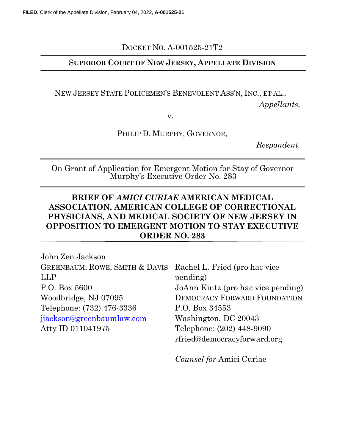DOCKET NO. A-001525-21T2

### SUPERIOR COURT OF NEW JERSEY, APPELLATE DIVISION

NEW JERSEY STATE POLICEMEN'S BENEVOLENT ASS'N, INC., ET AL.,

Appellants,

v.

PHILIP D. MURPHY, GOVERNOR,

Respondent.

On Grant of Application for Emergent Motion for Stay of Governor Murphy's Executive Order No. 283

### BRIEF OF AMICI CURIAE AMERICAN MEDICAL ASSOCIATION, AMERICAN COLLEGE OF CORRECTIONAL PHYSICIANS, AND MEDICAL SOCIETY OF NEW JERSEY IN OPPOSITION TO EMERGENT MOTION TO STAY EXECUTIVE ORDER NO. 283

John Zen Jackson GREENBAUM, ROWE, SMITH & DAVIS LLP P.O. Box 5600 Woodbridge, NJ 07095 Telephone: (732) 476-3336 jjackson@greenbaumlaw.com Atty ID 011041975

Rachel L. Fried (pro hac vice pending) JoAnn Kintz (pro hac vice pending) DEMOCRACY FORWARD FOUNDATION P.O. Box 34553 Washington, DC 20043 Telephone: (202) 448-9090 rfried@democracyforward.org

Counsel for Amici Curiae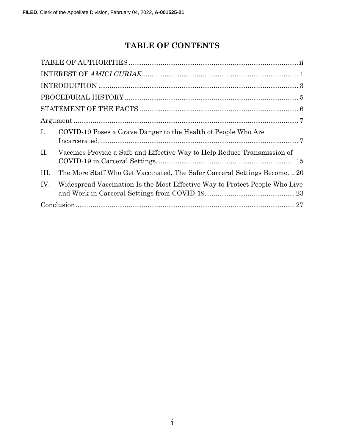# TABLE OF CONTENTS

| $\mathbf{I}$ . | COVID-19 Poses a Grave Danger to the Health of People Who Are               |  |  |
|----------------|-----------------------------------------------------------------------------|--|--|
| II.            | Vaccines Provide a Safe and Effective Way to Help Reduce Transmission of    |  |  |
| III.           | The More Staff Who Get Vaccinated, The Safer Carceral Settings Become20     |  |  |
| IV.            | Widespread Vaccination Is the Most Effective Way to Protect People Who Live |  |  |
|                |                                                                             |  |  |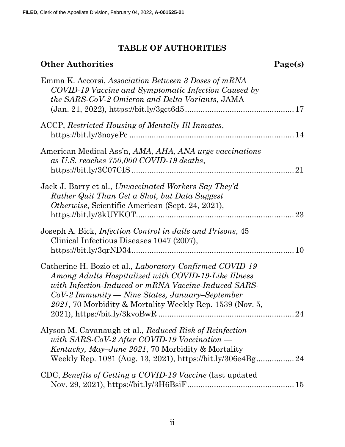## TABLE OF AUTHORITIES

# Other Authorities Page(s)

| Emma K. Accorsi, Association Between 3 Doses of mRNA<br>COVID-19 Vaccine and Symptomatic Infection Caused by<br>the SARS-CoV-2 Omicron and Delta Variants, JAMA<br>$(Jan. 21, 2022), https://bit.ly/3get6d511" style="text-align: right;">1"$                                                                             |
|---------------------------------------------------------------------------------------------------------------------------------------------------------------------------------------------------------------------------------------------------------------------------------------------------------------------------|
| ACCP, Restricted Housing of Mentally Ill Inmates,                                                                                                                                                                                                                                                                         |
| American Medical Ass'n, AMA, AHA, ANA urge vaccinations<br>as U.S. reaches 750,000 COVID-19 deaths,                                                                                                                                                                                                                       |
| Jack J. Barry et al., Unvaccinated Workers Say They'd<br>Rather Quit Than Get a Shot, but Data Suggest<br>Otherwise, Scientific American (Sept. 24, 2021),<br>23                                                                                                                                                          |
| Joseph A. Bick, <i>Infection Control in Jails and Prisons</i> , 45<br>Clinical Infectious Diseases 1047 (2007),                                                                                                                                                                                                           |
| Catherine H. Bozio et al., <i>Laboratory-Confirmed COVID-19</i><br>Among Adults Hospitalized with COVID-19-Like Illness<br>with Infection-Induced or mRNA Vaccine-Induced SARS-<br>$CoV-2\,Immuuity \longrightarrow Nine\, States,\, January-September$<br>2021, 70 Morbidity & Mortality Weekly Rep. 1539 (Nov. 5,<br>24 |
| Alyson M. Cavanaugh et al., Reduced Risk of Reinfection<br>with SARS-CoV-2 After COVID-19 Vaccination $-$<br><i>Kentucky, May–June 2021, 70 Morbidity &amp; Mortality</i>                                                                                                                                                 |
| CDC, Benefits of Getting a COVID-19 Vaccine (last updated                                                                                                                                                                                                                                                                 |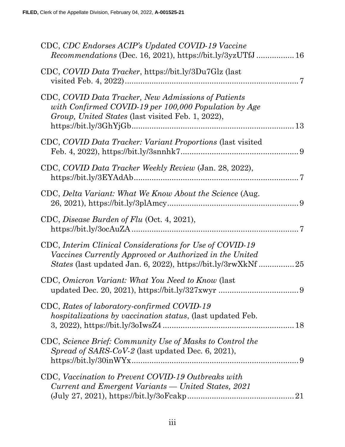| CDC, CDC Endorses ACIP's Updated COVID-19 Vaccine<br><i>Recommendations</i> (Dec. 16, 2021), https://bit.ly/3yzUTfJ 16                                                                                             |
|--------------------------------------------------------------------------------------------------------------------------------------------------------------------------------------------------------------------|
| CDC, COVID Data Tracker, https://bit.ly/3Du7Glz (last                                                                                                                                                              |
| CDC, COVID Data Tracker, New Admissions of Patients<br>with Confirmed COVID-19 per 100,000 Population by Age<br>Group, United States (last visited Feb. 1, 2022),                                                  |
| CDC, COVID Data Tracker: Variant Proportions (last visited                                                                                                                                                         |
| CDC, COVID Data Tracker Weekly Review (Jan. 28, 2022),                                                                                                                                                             |
| CDC, Delta Variant: What We Know About the Science (Aug.                                                                                                                                                           |
| CDC, Disease Burden of Flu (Oct. 4, 2021),                                                                                                                                                                         |
| CDC, Interim Clinical Considerations for Use of COVID-19<br>Vaccines Currently Approved or Authorized in the United                                                                                                |
| CDC, Omicron Variant: What You Need to Know (last                                                                                                                                                                  |
| CDC, Rates of laboratory-confirmed COVID-19<br><i>hospitalizations by vaccination status, (last updated Feb.</i>                                                                                                   |
| CDC, Science Brief: Community Use of Masks to Control the<br>Spread of SARS-CoV-2 (last updated Dec. 6, 2021),                                                                                                     |
| CDC, Vaccination to Prevent COVID-19 Outbreaks with<br>Current and Emergent Variants — United States, 2021<br>$(July 27, 2021), <a href="https://bit.ly/30Fcakp}{https://bit.ly/30Fcakp}{}{}{}{}{}{}{}{}</math>21$ |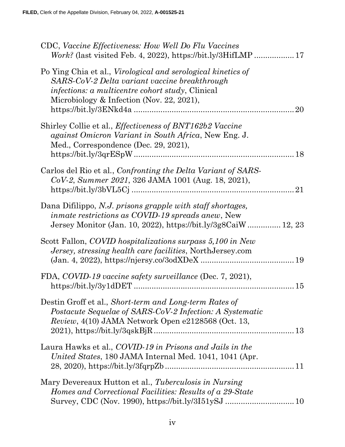| CDC, Vaccine Effectiveness: How Well Do Flu Vaccines                                                                                                                                                                  |
|-----------------------------------------------------------------------------------------------------------------------------------------------------------------------------------------------------------------------|
| Po Ying Chia et al., <i>Virological and serological kinetics of</i><br>SARS-CoV-2 Delta variant vaccine breakthrough<br>infections: a multicentre cohort study, Clinical<br>Microbiology & Infection (Nov. 22, 2021), |
| Shirley Collie et al., <i>Effectiveness of BNT162b2 Vaccine</i><br><i>against Omicron Variant in South Africa, New Eng. J.</i><br>Med., Correspondence (Dec. 29, 2021),                                               |
| Carlos del Rio et al., Confronting the Delta Variant of SARS-<br>CoV-2, Summer 2021, 326 JAMA 1001 (Aug. 18, 2021),<br>21                                                                                             |
| Dana Difilippo, N.J. prisons grapple with staff shortages,<br>inmate restrictions as COVID-19 spreads anew, New<br>Jersey Monitor (Jan. 10, 2022), https://bit.ly/3g8CaiW 12, 23                                      |
| Scott Fallon, COVID hospitalizations surpass 5,100 in New<br>Jersey, stressing health care facilities, NorthJersey.com                                                                                                |
| FDA, COVID-19 vaccine safety surveillance (Dec. 7, 2021),                                                                                                                                                             |
| Destin Groff et al., Short-term and Long-term Rates of<br>Postacute Sequelae of SARS-CoV-2 Infection: A Systematic<br><i>Review</i> , $4(10)$ JAMA Network Open e2128568 (Oct. 13,                                    |
| Laura Hawks et al., COVID-19 in Prisons and Jails in the<br>United States, 180 JAMA Internal Med. 1041, 1041 (Apr.                                                                                                    |
| Mary Devereaux Hutton et al., Tuberculosis in Nursing<br>Homes and Correctional Facilities: Results of a 29-State                                                                                                     |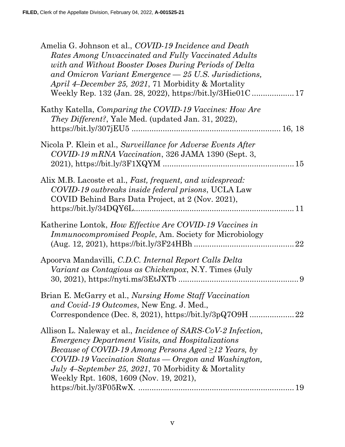| Amelia G. Johnson et al., COVID-19 Incidence and Death<br>Rates Among Unvaccinated and Fully Vaccinated Adults<br>with and Without Booster Doses During Periods of Delta<br>and Omicron Variant Emergence - 25 U.S. Jurisdictions,<br>April 4–December 25, 2021, 71 Morbidity & Mortality<br>Weekly Rep. 132 (Jan. 28, 2022), https://bit.ly/3Hie01C 17                               |  |
|---------------------------------------------------------------------------------------------------------------------------------------------------------------------------------------------------------------------------------------------------------------------------------------------------------------------------------------------------------------------------------------|--|
| Kathy Katella, Comparing the COVID-19 Vaccines: How Are<br>They Different?, Yale Med. (updated Jan. 31, 2022),                                                                                                                                                                                                                                                                        |  |
| Nicola P. Klein et al., Surveillance for Adverse Events After<br>COVID-19 mRNA Vaccination, 326 JAMA 1390 (Sept. 3,                                                                                                                                                                                                                                                                   |  |
| Alix M.B. Lacoste et al., Fast, frequent, and widespread:<br>COVID-19 outbreaks inside federal prisons, UCLA Law<br>COVID Behind Bars Data Project, at 2 (Nov. 2021),                                                                                                                                                                                                                 |  |
| Katherine Lontok, How Effective Are COVID-19 Vaccines in<br><i>Immunocompromised People, Am. Society for Microbiology</i>                                                                                                                                                                                                                                                             |  |
| Apoorva Mandavilli, C.D.C. Internal Report Calls Delta<br>Variant as Contagious as Chickenpox, N.Y. Times (July                                                                                                                                                                                                                                                                       |  |
| Brian E. McGarry et al., Nursing Home Staff Vaccination<br>and Covid-19 Outcomes, New Eng. J. Med.,                                                                                                                                                                                                                                                                                   |  |
| Allison L. Naleway et al., <i>Incidence of SARS-CoV-2 Infection</i> ,<br><i>Emergency Department Visits, and Hospitalizations</i><br><i>Because of COVID-19 Among Persons Aged <math>\geq</math>12 Years, by</i><br>COVID-19 Vaccination Status — Oregon and Washington,<br><i>July 4–September 25, 2021, 70 Morbidity &amp; Mortality</i><br>Weekly Rpt. 1608, 1609 (Nov. 19, 2021), |  |
|                                                                                                                                                                                                                                                                                                                                                                                       |  |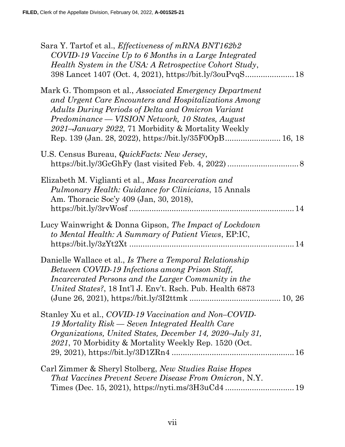| Sara Y. Tartof et al., Effectiveness of mRNA BNT162b2<br>COVID-19 Vaccine Up to 6 Months in a Large Integrated<br>Health System in the USA: A Retrospective Cohort Study,<br>398 Lancet 1407 (Oct. 4, 2021), https://bit.ly/3ouPvqS 18                                                                                                       |
|----------------------------------------------------------------------------------------------------------------------------------------------------------------------------------------------------------------------------------------------------------------------------------------------------------------------------------------------|
| Mark G. Thompson et al., Associated Emergency Department<br>and Urgent Care Encounters and Hospitalizations Among<br>Adults During Periods of Delta and Omicron Variant<br>Predominance — VISION Network, 10 States, August<br>2021–January 2022, 71 Morbidity & Mortality Weekly<br>Rep. 139 (Jan. 28, 2022), https://bit.ly/35F0OpB 16, 18 |
| U.S. Census Bureau, <i>QuickFacts: New Jersey</i> ,                                                                                                                                                                                                                                                                                          |
| Elizabeth M. Viglianti et al., Mass Incarceration and<br><i>Pulmonary Health: Guidance for Clinicians, 15 Annals</i><br>Am. Thoracic Soc'y 409 (Jan, 30, 2018),                                                                                                                                                                              |
| Lucy Wainwright & Donna Gipson, The Impact of Lockdown<br>to Mental Health: A Summary of Patient Views, EP:IC,                                                                                                                                                                                                                               |
| Danielle Wallace et al., Is There a Temporal Relationship<br>Between COVID-19 Infections among Prison Staff,<br>Incarcerated Persons and the Larger Community in the<br>United States?, 18 Int'l J. Env't. Rsch. Pub. Health 6873                                                                                                            |
| Stanley Xu et al., COVID-19 Vaccination and Non-COVID-<br>19 Mortality Risk — Seven Integrated Health Care<br>Organizations, United States, December 14, 2020–July 31,<br>2021, 70 Morbidity & Mortality Weekly Rep. 1520 (Oct.                                                                                                              |
| Carl Zimmer & Sheryl Stolberg, New Studies Raise Hopes<br><i>That Vaccines Prevent Severe Disease From Omicron, N.Y.</i>                                                                                                                                                                                                                     |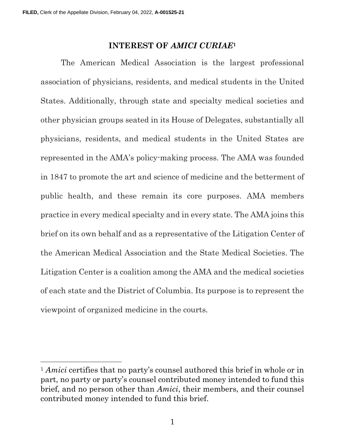#### INTEREST OF AMICI CURIAE<sup>1</sup>

The American Medical Association is the largest professional association of physicians, residents, and medical students in the United States. Additionally, through state and specialty medical societies and other physician groups seated in its House of Delegates, substantially all physicians, residents, and medical students in the United States are represented in the AMA's policy-making process. The AMA was founded in 1847 to promote the art and science of medicine and the betterment of public health, and these remain its core purposes. AMA members practice in every medical specialty and in every state. The AMA joins this brief on its own behalf and as a representative of the Litigation Center of the American Medical Association and the State Medical Societies. The Litigation Center is a coalition among the AMA and the medical societies of each state and the District of Columbia. Its purpose is to represent the viewpoint of organized medicine in the courts.

<sup>&</sup>lt;sup>1</sup> Amici certifies that no party's counsel authored this brief in whole or in part, no party or party's counsel contributed money intended to fund this brief, and no person other than Amici, their members, and their counsel contributed money intended to fund this brief.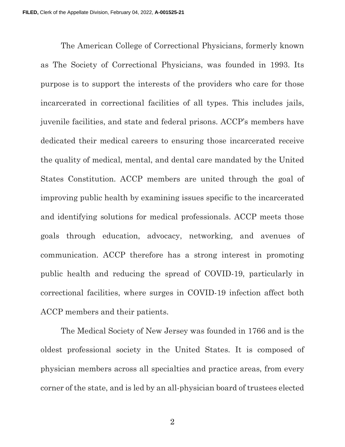The American College of Correctional Physicians, formerly known as The Society of Correctional Physicians, was founded in 1993. Its purpose is to support the interests of the providers who care for those incarcerated in correctional facilities of all types. This includes jails, juvenile facilities, and state and federal prisons. ACCP's members have dedicated their medical careers to ensuring those incarcerated receive the quality of medical, mental, and dental care mandated by the United States Constitution. ACCP members are united through the goal of improving public health by examining issues specific to the incarcerated and identifying solutions for medical professionals. ACCP meets those goals through education, advocacy, networking, and avenues of communication. ACCP therefore has a strong interest in promoting public health and reducing the spread of COVID-19, particularly in correctional facilities, where surges in COVID-19 infection affect both ACCP members and their patients.

The Medical Society of New Jersey was founded in 1766 and is the oldest professional society in the United States. It is composed of physician members across all specialties and practice areas, from every corner of the state, and is led by an all-physician board of trustees elected

2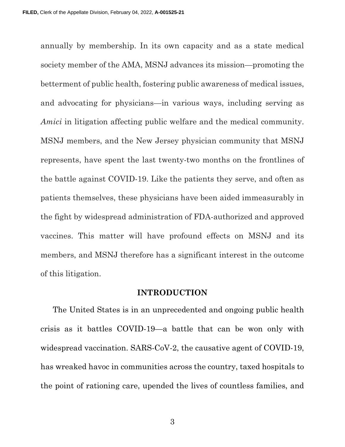annually by membership. In its own capacity and as a state medical society member of the AMA, MSNJ advances its mission—promoting the betterment of public health, fostering public awareness of medical issues, and advocating for physicians—in various ways, including serving as Amici in litigation affecting public welfare and the medical community. MSNJ members, and the New Jersey physician community that MSNJ represents, have spent the last twenty-two months on the frontlines of the battle against COVID-19. Like the patients they serve, and often as patients themselves, these physicians have been aided immeasurably in the fight by widespread administration of FDA-authorized and approved vaccines. This matter will have profound effects on MSNJ and its members, and MSNJ therefore has a significant interest in the outcome of this litigation.

#### INTRODUCTION

The United States is in an unprecedented and ongoing public health crisis as it battles COVID-19—a battle that can be won only with widespread vaccination. SARS-CoV-2, the causative agent of COVID-19, has wreaked havoc in communities across the country, taxed hospitals to the point of rationing care, upended the lives of countless families, and

3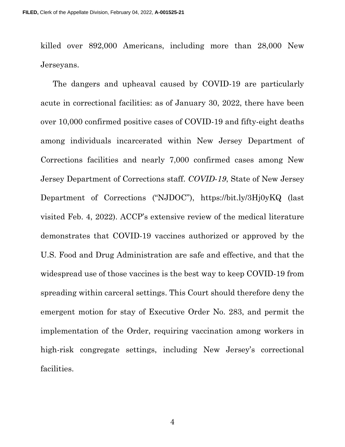killed over 892,000 Americans, including more than 28,000 New Jerseyans.

The dangers and upheaval caused by COVID-19 are particularly acute in correctional facilities: as of January 30, 2022, there have been over 10,000 confirmed positive cases of COVID-19 and fifty-eight deaths among individuals incarcerated within New Jersey Department of Corrections facilities and nearly 7,000 confirmed cases among New Jersey Department of Corrections staff. COVID-19, State of New Jersey Department of Corrections ("NJDOC"), https://bit.ly/3Hj0yKQ (last visited Feb. 4, 2022). ACCP's extensive review of the medical literature demonstrates that COVID-19 vaccines authorized or approved by the U.S. Food and Drug Administration are safe and effective, and that the widespread use of those vaccines is the best way to keep COVID-19 from spreading within carceral settings. This Court should therefore deny the emergent motion for stay of Executive Order No. 283, and permit the implementation of the Order, requiring vaccination among workers in high-risk congregate settings, including New Jersey's correctional facilities.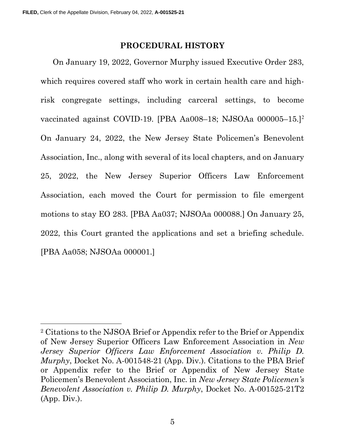#### PROCEDURAL HISTORY

On January 19, 2022, Governor Murphy issued Executive Order 283, which requires covered staff who work in certain health care and highrisk congregate settings, including carceral settings, to become vaccinated against COVID-19. [PBA Aa008–18; NJSOAa 000005–15.]<sup>2</sup> On January 24, 2022, the New Jersey State Policemen's Benevolent Association, Inc., along with several of its local chapters, and on January 25, 2022, the New Jersey Superior Officers Law Enforcement Association, each moved the Court for permission to file emergent motions to stay EO 283. [PBA Aa037; NJSOAa 000088.] On January 25, 2022, this Court granted the applications and set a briefing schedule. [PBA Aa058; NJSOAa 000001.]

<sup>2</sup> Citations to the NJSOA Brief or Appendix refer to the Brief or Appendix of New Jersey Superior Officers Law Enforcement Association in New Jersey Superior Officers Law Enforcement Association v. Philip D. Murphy, Docket No. A-001548-21 (App. Div.). Citations to the PBA Brief or Appendix refer to the Brief or Appendix of New Jersey State Policemen's Benevolent Association, Inc. in New Jersey State Policemen's Benevolent Association v. Philip D. Murphy, Docket No. A-001525-21T2 (App. Div.).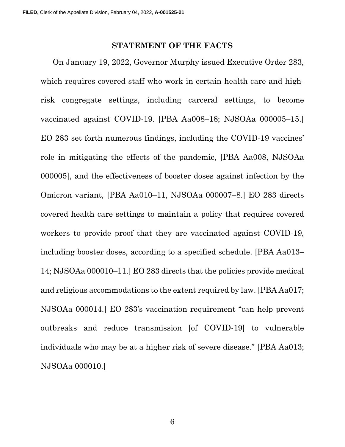#### STATEMENT OF THE FACTS

On January 19, 2022, Governor Murphy issued Executive Order 283, which requires covered staff who work in certain health care and highrisk congregate settings, including carceral settings, to become vaccinated against COVID-19. [PBA Aa008–18; NJSOAa 000005–15.] EO 283 set forth numerous findings, including the COVID-19 vaccines' role in mitigating the effects of the pandemic, [PBA Aa008, NJSOAa 000005], and the effectiveness of booster doses against infection by the Omicron variant, [PBA Aa010–11, NJSOAa 000007–8.] EO 283 directs covered health care settings to maintain a policy that requires covered workers to provide proof that they are vaccinated against COVID-19, including booster doses, according to a specified schedule. [PBA Aa013– 14; NJSOAa 000010–11.] EO 283 directs that the policies provide medical and religious accommodations to the extent required by law. [PBA Aa017; NJSOAa 000014.] EO 283's vaccination requirement "can help prevent outbreaks and reduce transmission [of COVID-19] to vulnerable individuals who may be at a higher risk of severe disease." [PBA Aa013; NJSOAa 000010.]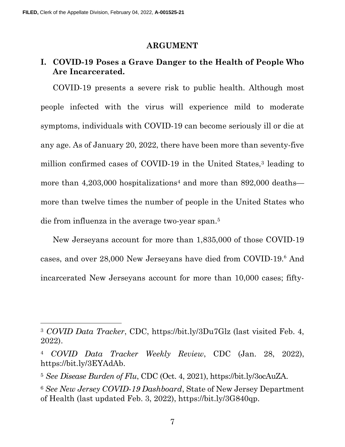#### ARGUMENT

### I. COVID-19 Poses a Grave Danger to the Health of People Who Are Incarcerated.

COVID-19 presents a severe risk to public health. Although most people infected with the virus will experience mild to moderate symptoms, individuals with COVID-19 can become seriously ill or die at any age. As of January 20, 2022, there have been more than seventy-five million confirmed cases of COVID-19 in the United States,<sup>3</sup> leading to more than  $4,203,000$  hospitalizations<sup>4</sup> and more than  $892,000$  deaths more than twelve times the number of people in the United States who die from influenza in the average two-year span.<sup>5</sup>

New Jerseyans account for more than 1,835,000 of those COVID-19 cases, and over 28,000 New Jerseyans have died from COVID-19.<sup>6</sup> And incarcerated New Jerseyans account for more than 10,000 cases; fifty-

<sup>3</sup> COVID Data Tracker, CDC, https://bit.ly/3Du7Glz (last visited Feb. 4, 2022).

<sup>4</sup> COVID Data Tracker Weekly Review, CDC (Jan. 28, 2022), https://bit.ly/3EYAdAb.

<sup>5</sup> See Disease Burden of Flu, CDC (Oct. 4, 2021), https://bit.ly/3ocAuZA.

<sup>6</sup> See New Jersey COVID-19 Dashboard, State of New Jersey Department of Health (last updated Feb. 3, 2022), https://bit.ly/3G840qp.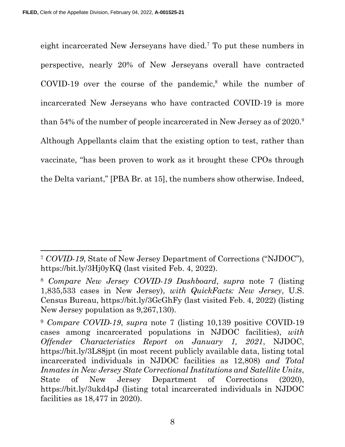eight incarcerated New Jerseyans have died.<sup>7</sup> To put these numbers in perspective, nearly 20% of New Jerseyans overall have contracted  $\text{COVID-19}$  over the course of the pandemic,<sup>8</sup> while the number of incarcerated New Jerseyans who have contracted COVID-19 is more than 54% of the number of people incarcerated in New Jersey as of 2020.<sup>9</sup> Although Appellants claim that the existing option to test, rather than vaccinate, "has been proven to work as it brought these CPOs through the Delta variant," [PBA Br. at 15], the numbers show otherwise. Indeed,

<sup>7</sup> COVID-19, State of New Jersey Department of Corrections ("NJDOC"), https://bit.ly/3Hj0yKQ (last visited Feb. 4, 2022).

<sup>8</sup> Compare New Jersey COVID-19 Dashboard, supra note 7 (listing 1,835,533 cases in New Jersey), with QuickFacts: New Jersey, U.S. Census Bureau, https://bit.ly/3GcGhFy (last visited Feb. 4, 2022) (listing New Jersey population as 9,267,130).

<sup>9</sup> Compare COVID-19, supra note 7 (listing 10,139 positive COVID-19 cases among incarcerated populations in NJDOC facilities), with Offender Characteristics Report on January 1, 2021, NJDOC, https://bit.ly/3L88jpt (in most recent publicly available data, listing total incarcerated individuals in NJDOC facilities as 12,808) and Total Inmates in New Jersey State Correctional Institutions and Satellite Units, State of New Jersey Department of Corrections (2020), https://bit.ly/3ukd4pJ (listing total incarcerated individuals in NJDOC facilities as 18,477 in 2020).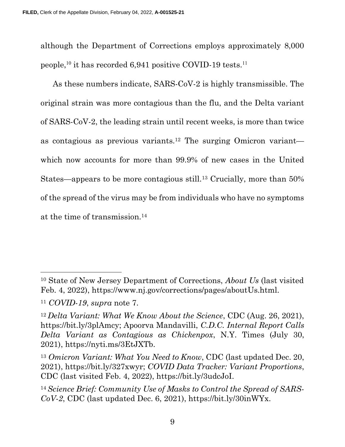although the Department of Corrections employs approximately 8,000 people,<sup>10</sup> it has recorded 6,941 positive COVID-19 tests.<sup>11</sup>

As these numbers indicate, SARS-CoV-2 is highly transmissible. The original strain was more contagious than the flu, and the Delta variant of SARS-CoV-2, the leading strain until recent weeks, is more than twice as contagious as previous variants.12 The surging Omicron variant which now accounts for more than 99.9% of new cases in the United States—appears to be more contagious still.13 Crucially, more than 50% of the spread of the virus may be from individuals who have no symptoms at the time of transmission.<sup>14</sup>

<sup>10</sup> State of New Jersey Department of Corrections, About Us (last visited Feb. 4, 2022), https://www.nj.gov/corrections/pages/aboutUs.html.

<sup>11</sup> COVID-19, supra note 7.

 $12\Delta$  Delta Variant: What We Know About the Science, CDC (Aug. 26, 2021), https://bit.ly/3plAmcy; Apoorva Mandavilli, C.D.C. Internal Report Calls Delta Variant as Contagious as Chickenpox, N.Y. Times (July 30, 2021), https://nyti.ms/3EtJXTb.

<sup>&</sup>lt;sup>13</sup> Omicron Variant: What You Need to Know, CDC (last updated Dec. 20, 2021), https://bit.ly/327xwyr; COVID Data Tracker: Variant Proportions, CDC (last visited Feb. 4, 2022), https://bit.ly/3udcJoI.

<sup>14</sup> Science Brief: Community Use of Masks to Control the Spread of SARS- $CoV-2$ , CDC (last updated Dec. 6, 2021), https://bit.ly/30inWYx.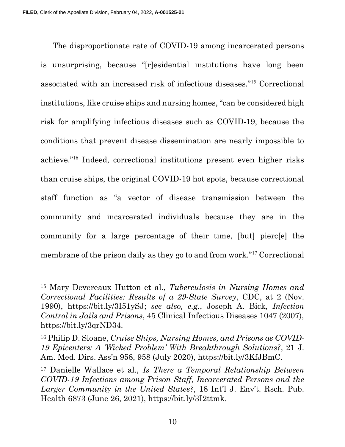The disproportionate rate of COVID-19 among incarcerated persons is unsurprising, because "[r]esidential institutions have long been associated with an increased risk of infectious diseases."<sup>15</sup> Correctional institutions, like cruise ships and nursing homes, "can be considered high risk for amplifying infectious diseases such as COVID-19, because the conditions that prevent disease dissemination are nearly impossible to achieve."<sup>16</sup> Indeed, correctional institutions present even higher risks than cruise ships, the original COVID-19 hot spots, because correctional staff function as "a vector of disease transmission between the community and incarcerated individuals because they are in the community for a large percentage of their time, [but] pierc[e] the membrane of the prison daily as they go to and from work."<sup>17</sup> Correctional

<sup>15</sup> Mary Devereaux Hutton et al., Tuberculosis in Nursing Homes and Correctional Facilities: Results of a 29-State Survey, CDC, at 2 (Nov. 1990), https://bit.ly/3I51ySJ; see also, e.g., Joseph A. Bick, Infection Control in Jails and Prisons, 45 Clinical Infectious Diseases 1047 (2007), https://bit.ly/3qrND34.

<sup>16</sup> Philip D. Sloane, Cruise Ships, Nursing Homes, and Prisons as COVID-19 Epicenters: A 'Wicked Problem' With Breakthrough Solutions?, 21 J. Am. Med. Dirs. Ass'n 958, 958 (July 2020), https://bit.ly/3KfJBmC.

<sup>17</sup> Danielle Wallace et al., Is There a Temporal Relationship Between COVID-19 Infections among Prison Staff, Incarcerated Persons and the Larger Community in the United States?, 18 Int'l J. Env't. Rsch. Pub. Health 6873 (June 26, 2021), https://bit.ly/3I2ttmk.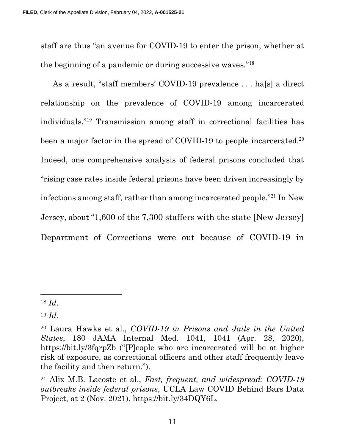staff are thus "an avenue for COVID-19 to enter the prison, whether at the beginning of a pandemic or during successive waves."<sup>18</sup>

As a result, "staff members' COVID-19 prevalence . . . ha[s] a direct relationship on the prevalence of COVID-19 among incarcerated individuals."<sup>19</sup> Transmission among staff in correctional facilities has been a major factor in the spread of COVID-19 to people incarcerated.<sup>20</sup> Indeed, one comprehensive analysis of federal prisons concluded that "rising case rates inside federal prisons have been driven increasingly by infections among staff, rather than among incarcerated people."<sup>21</sup> In New Jersey, about "1,600 of the 7,300 staffers with the state [New Jersey] Department of Corrections were out because of COVID-19 in

 $18$  *Id.* 

 $19 \; Id.$ 

<sup>20</sup> Laura Hawks et al., COVID-19 in Prisons and Jails in the United States, 180 JAMA Internal Med. 1041, 1041 (Apr. 28, 2020), https://bit.ly/3fqrpZb ("[P]eople who are incarcerated will be at higher risk of exposure, as correctional officers and other staff frequently leave the facility and then return.").

<sup>21</sup> Alix M.B. Lacoste et al., Fast, frequent, and widespread: COVID-19 outbreaks inside federal prisons, UCLA Law COVID Behind Bars Data Project, at 2 (Nov. 2021), https://bit.ly/34DQY6L.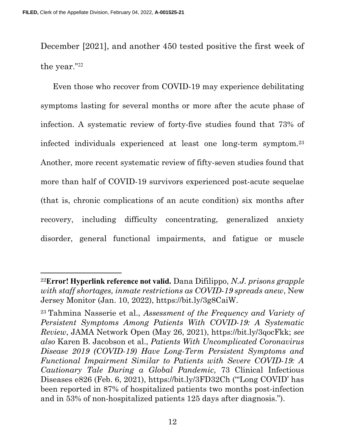December [2021], and another 450 tested positive the first week of the year."<sup>22</sup>

Even those who recover from COVID-19 may experience debilitating symptoms lasting for several months or more after the acute phase of infection. A systematic review of forty-five studies found that 73% of infected individuals experienced at least one long-term symptom.<sup>23</sup> Another, more recent systematic review of fifty-seven studies found that more than half of COVID-19 survivors experienced post-acute sequelae (that is, chronic complications of an acute condition) six months after recovery, including difficulty concentrating, generalized anxiety disorder, general functional impairments, and fatigue or muscle

<sup>&</sup>lt;sup>22</sup>Error! Hyperlink reference not valid. Dana Difilippo, N.J. prisons grapple with staff shortages, inmate restrictions as COVID-19 spreads anew, New Jersey Monitor (Jan. 10, 2022), https://bit.ly/3g8CaiW.

<sup>23</sup>Tahmina Nasserie et al., Assessment of the Frequency and Variety of Persistent Symptoms Among Patients With COVID-19: A Systematic Review, JAMA Network Open (May 26, 2021), https://bit.ly/3qocFkk; see also Karen B. Jacobson et al., Patients With Uncomplicated Coronavirus Disease 2019 (COVID-19) Have Long-Term Persistent Symptoms and Functional Impairment Similar to Patients with Severe COVID-19: A Cautionary Tale During a Global Pandemic, 73 Clinical Infectious Diseases e826 (Feb. 6, 2021), https://bit.ly/3FD32Ch ("'Long COVID' has been reported in 87% of hospitalized patients two months post-infection and in 53% of non-hospitalized patients 125 days after diagnosis.").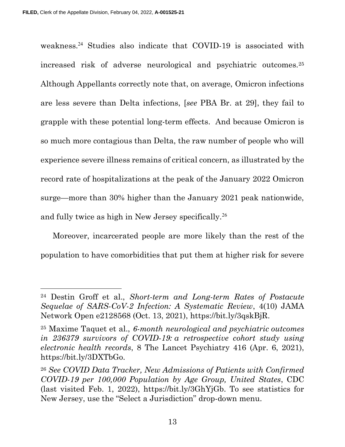weakness.<sup>24</sup> Studies also indicate that COVID-19 is associated with increased risk of adverse neurological and psychiatric outcomes.<sup>25</sup> Although Appellants correctly note that, on average, Omicron infections are less severe than Delta infections, [see PBA Br. at 29], they fail to grapple with these potential long-term effects. And because Omicron is so much more contagious than Delta, the raw number of people who will experience severe illness remains of critical concern, as illustrated by the record rate of hospitalizations at the peak of the January 2022 Omicron surge—more than 30% higher than the January 2021 peak nationwide, and fully twice as high in New Jersey specifically.<sup>26</sup>

Moreover, incarcerated people are more likely than the rest of the population to have comorbidities that put them at higher risk for severe

<sup>24</sup> Destin Groff et al., Short-term and Long-term Rates of Postacute Sequelae of SARS-CoV-2 Infection: A Systematic Review, 4(10) JAMA Network Open e2128568 (Oct. 13, 2021), https://bit.ly/3qskBjR.

<sup>&</sup>lt;sup>25</sup> Maxime Taquet et al., 6-month neurological and psychiatric outcomes in 236379 survivors of COVID-19: a retrospective cohort study using electronic health records, 8 The Lancet Psychiatry 416 (Apr. 6, 2021), https://bit.ly/3DXTbGo.

<sup>26</sup> See COVID Data Tracker, New Admissions of Patients with Confirmed COVID-19 per 100,000 Population by Age Group, United States, CDC (last visited Feb. 1, 2022), https://bit.ly/3GhYjGb. To see statistics for New Jersey, use the "Select a Jurisdiction" drop-down menu.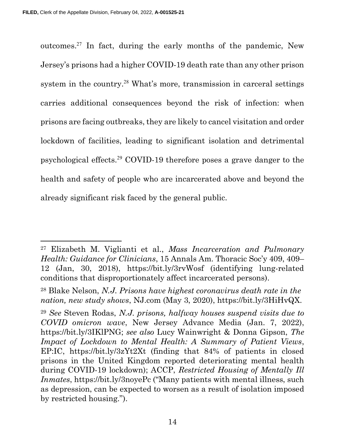outcomes.<sup>27</sup> In fact, during the early months of the pandemic, New Jersey's prisons had a higher COVID-19 death rate than any other prison system in the country.<sup>28</sup> What's more, transmission in carceral settings carries additional consequences beyond the risk of infection: when prisons are facing outbreaks, they are likely to cancel visitation and order lockdown of facilities, leading to significant isolation and detrimental psychological effects.<sup>29</sup> COVID-19 therefore poses a grave danger to the health and safety of people who are incarcerated above and beyond the already significant risk faced by the general public.

<sup>27</sup> Elizabeth M. Viglianti et al., Mass Incarceration and Pulmonary Health: Guidance for Clinicians, 15 Annals Am. Thoracic Soc'y 409, 409– 12 (Jan, 30, 2018), https://bit.ly/3rvWosf (identifying lung-related conditions that disproportionately affect incarcerated persons).

<sup>28</sup> Blake Nelson, N.J. Prisons have highest coronavirus death rate in the nation, new study shows, NJ.com (May 3, 2020), https://bit.ly/3HiHvQX.

<sup>29</sup> See Steven Rodas, N.J. prisons, halfway houses suspend visits due to COVID omicron wave, New Jersey Advance Media (Jan. 7, 2022), https://bit.ly/3IKlPNG; see also Lucy Wainwright & Donna Gipson, The Impact of Lockdown to Mental Health: A Summary of Patient Views, EP:IC, https://bit.ly/3zYt2Xt (finding that 84% of patients in closed prisons in the United Kingdom reported deteriorating mental health during COVID-19 lockdown); ACCP, Restricted Housing of Mentally Ill Inmates, https://bit.ly/3noyePc ("Many patients with mental illness, such as depression, can be expected to worsen as a result of isolation imposed by restricted housing.").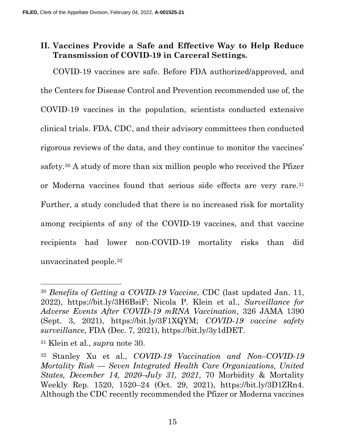## II. Vaccines Provide a Safe and Effective Way to Help Reduce Transmission of COVID-19 in Carceral Settings.

COVID-19 vaccines are safe. Before FDA authorized/approved, and the Centers for Disease Control and Prevention recommended use of, the COVID-19 vaccines in the population, scientists conducted extensive clinical trials. FDA, CDC, and their advisory committees then conducted rigorous reviews of the data, and they continue to monitor the vaccines' safety.30 A study of more than six million people who received the Pfizer or Moderna vaccines found that serious side effects are very rare.<sup>31</sup> Further, a study concluded that there is no increased risk for mortality among recipients of any of the COVID-19 vaccines, and that vaccine recipients had lower non-COVID-19 mortality risks than did unvaccinated people.<sup>32</sup>

<sup>30</sup> Benefits of Getting a COVID-19 Vaccine, CDC (last updated Jan. 11, 2022), https://bit.ly/3H6BsiF; Nicola P. Klein et al., Surveillance for Adverse Events After COVID-19 mRNA Vaccination, 326 JAMA 1390 (Sept. 3, 2021), https://bit.ly/3F1XQYM; COVID-19 vaccine safety surveillance, FDA (Dec. 7, 2021), https://bit.ly/3y1dDET.

<sup>31</sup> Klein et al., supra note 30.

<sup>32</sup> Stanley Xu et al., COVID-19 Vaccination and Non–COVID-19 Mortality Risk — Seven Integrated Health Care Organizations, United States, December 14, 2020–July 31, 2021, 70 Morbidity & Mortality Weekly Rep. 1520, 1520–24 (Oct. 29, 2021), https://bit.ly/3D1ZRn4. Although the CDC recently recommended the Pfizer or Moderna vaccines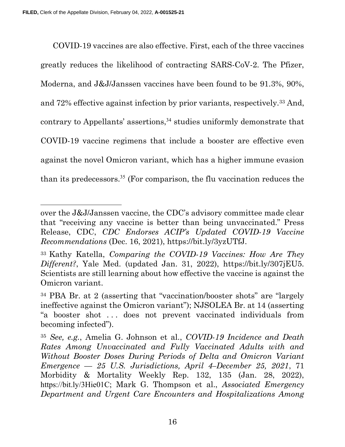COVID-19 vaccines are also effective. First, each of the three vaccines greatly reduces the likelihood of contracting SARS-CoV-2. The Pfizer, Moderna, and J&J/Janssen vaccines have been found to be 91.3%, 90%, and 72% effective against infection by prior variants, respectively.33 And, contrary to Appellants' assertions,<sup>34</sup> studies uniformly demonstrate that COVID-19 vaccine regimens that include a booster are effective even against the novel Omicron variant, which has a higher immune evasion than its predecessors.<sup>35</sup> (For comparison, the flu vaccination reduces the

over the J&J/Janssen vaccine, the CDC's advisory committee made clear that "receiving any vaccine is better than being unvaccinated." Press Release, CDC, CDC Endorses ACIP's Updated COVID-19 Vaccine Recommendations (Dec. 16, 2021), https://bit.ly/3yzUTfJ.

<sup>33</sup>Kathy Katella, Comparing the COVID-19 Vaccines: How Are They Different?, Yale Med. (updated Jan. 31, 2022), https://bit.ly/307jEU5. Scientists are still learning about how effective the vaccine is against the Omicron variant.

<sup>34</sup> PBA Br. at 2 (asserting that "vaccination/booster shots" are "largely ineffective against the Omicron variant"); NJSOLEA Br. at 14 (asserting "a booster shot . . . does not prevent vaccinated individuals from becoming infected").

<sup>35</sup> See, e.g., Amelia G. Johnson et al., COVID-19 Incidence and Death Rates Among Unvaccinated and Fully Vaccinated Adults with and Without Booster Doses During Periods of Delta and Omicron Variant Emergence — 25 U.S. Jurisdictions, April 4–December 25, 2021, 71 Morbidity & Mortality Weekly Rep. 132, 135 (Jan. 28, 2022), https://bit.ly/3Hie01C; Mark G. Thompson et al., Associated Emergency Department and Urgent Care Encounters and Hospitalizations Among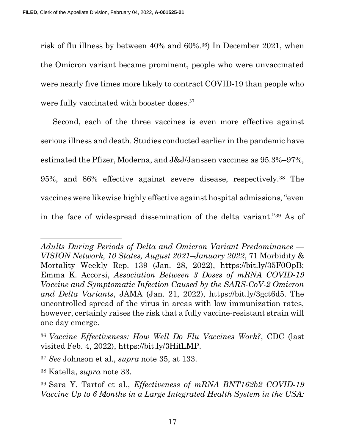risk of flu illness by between 40% and 60%.36) In December 2021, when the Omicron variant became prominent, people who were unvaccinated were nearly five times more likely to contract COVID-19 than people who were fully vaccinated with booster doses.<sup>37</sup>

Second, each of the three vaccines is even more effective against serious illness and death. Studies conducted earlier in the pandemic have estimated the Pfizer, Moderna, and J&J/Janssen vaccines as 95.3%–97%, 95%, and 86% effective against severe disease, respectively.38 The vaccines were likewise highly effective against hospital admissions, "even in the face of widespread dissemination of the delta variant."39 As of

Adults During Periods of Delta and Omicron Variant Predominance — VISION Network, 10 States, August 2021–January 2022, 71 Morbidity & Mortality Weekly Rep. 139 (Jan. 28, 2022), https://bit.ly/35F0OpB; Emma K. Accorsi, Association Between 3 Doses of mRNA COVID-19 Vaccine and Symptomatic Infection Caused by the SARS-CoV-2 Omicron and Delta Variants, JAMA (Jan. 21, 2022), https://bit.ly/3gct6d5. The uncontrolled spread of the virus in areas with low immunization rates, however, certainly raises the risk that a fully vaccine-resistant strain will one day emerge.

<sup>36</sup>Vaccine Effectiveness: How Well Do Flu Vaccines Work?, CDC (last visited Feb. 4, 2022), https://bit.ly/3HifLMP.

<sup>37</sup> See Johnson et al., supra note 35, at 133.

<sup>38</sup> Katella, supra note 33.

<sup>39</sup>Sara Y. Tartof et al., Effectiveness of mRNA BNT162b2 COVID-19 Vaccine Up to 6 Months in a Large Integrated Health System in the USA: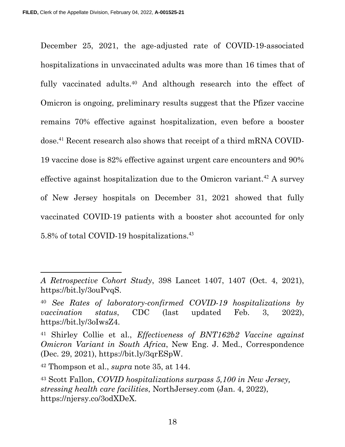December 25, 2021, the age-adjusted rate of COVID-19-associated hospitalizations in unvaccinated adults was more than 16 times that of fully vaccinated adults.<sup>40</sup> And although research into the effect of Omicron is ongoing, preliminary results suggest that the Pfizer vaccine remains 70% effective against hospitalization, even before a booster dose.41 Recent research also shows that receipt of a third mRNA COVID-19 vaccine dose is 82% effective against urgent care encounters and 90% effective against hospitalization due to the Omicron variant.<sup>42</sup> A survey of New Jersey hospitals on December 31, 2021 showed that fully vaccinated COVID-19 patients with a booster shot accounted for only 5.8% of total COVID-19 hospitalizations.<sup>43</sup>

A Retrospective Cohort Study, 398 Lancet 1407, 1407 (Oct. 4, 2021), https://bit.ly/3ouPvqS.

<sup>40</sup> See Rates of laboratory-confirmed COVID-19 hospitalizations by vaccination status, CDC (last updated Feb. 3, 2022), https://bit.ly/3oIwsZ4.

<sup>41</sup> Shirley Collie et al., Effectiveness of BNT162b2 Vaccine against Omicron Variant in South Africa, New Eng. J. Med., Correspondence (Dec. 29, 2021), https://bit.ly/3qrESpW.

 $42$  Thompson et al., *supra* note 35, at 144.

<sup>43</sup> Scott Fallon, COVID hospitalizations surpass 5,100 in New Jersey, stressing health care facilities, NorthJersey.com (Jan. 4, 2022), https://njersy.co/3odXDeX.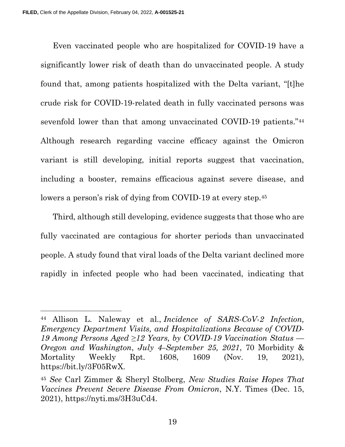Even vaccinated people who are hospitalized for COVID-19 have a significantly lower risk of death than do unvaccinated people. A study found that, among patients hospitalized with the Delta variant, "[t]he crude risk for COVID-19-related death in fully vaccinated persons was sevenfold lower than that among unvaccinated COVID-19 patients."<sup>44</sup> Although research regarding vaccine efficacy against the Omicron variant is still developing, initial reports suggest that vaccination, including a booster, remains efficacious against severe disease, and lowers a person's risk of dying from COVID-19 at every step.<sup>45</sup>

Third, although still developing, evidence suggests that those who are fully vaccinated are contagious for shorter periods than unvaccinated people. A study found that viral loads of the Delta variant declined more rapidly in infected people who had been vaccinated, indicating that

<sup>44</sup> Allison L. Naleway et al., Incidence of SARS-CoV-2 Infection, Emergency Department Visits, and Hospitalizations Because of COVID-19 Among Persons Aged  $\geq$ 12 Years, by COVID-19 Vaccination Status — Oregon and Washington, July 4–September 25, 2021, 70 Morbidity & Mortality Weekly Rpt. 1608, 1609 (Nov. 19, 2021), https://bit.ly/3F05RwX.

<sup>45</sup> See Carl Zimmer & Sheryl Stolberg, New Studies Raise Hopes That Vaccines Prevent Severe Disease From Omicron, N.Y. Times (Dec. 15, 2021), https://nyti.ms/3H3uCd4.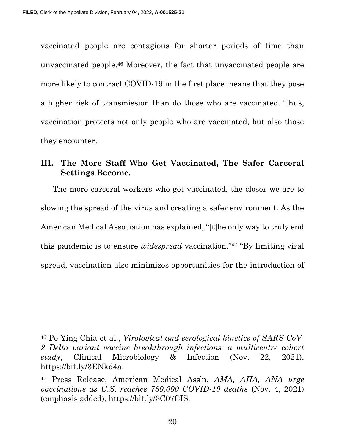vaccinated people are contagious for shorter periods of time than unvaccinated people.46 Moreover, the fact that unvaccinated people are more likely to contract COVID-19 in the first place means that they pose a higher risk of transmission than do those who are vaccinated. Thus, vaccination protects not only people who are vaccinated, but also those they encounter.

### III. The More Staff Who Get Vaccinated, The Safer Carceral Settings Become.

The more carceral workers who get vaccinated, the closer we are to slowing the spread of the virus and creating a safer environment. As the American Medical Association has explained, "[t]he only way to truly end this pandemic is to ensure widespread vaccination."47 "By limiting viral spread, vaccination also minimizes opportunities for the introduction of

<sup>46</sup> Po Ying Chia et al., Virological and serological kinetics of SARS-CoV-2 Delta variant vaccine breakthrough infections: a multicentre cohort study, Clinical Microbiology & Infection (Nov. 22, 2021), https://bit.ly/3ENkd4a.

<sup>47</sup> Press Release, American Medical Ass'n, AMA, AHA, ANA urge vaccinations as U.S. reaches 750,000 COVID-19 deaths (Nov. 4, 2021) (emphasis added), https://bit.ly/3C07CIS.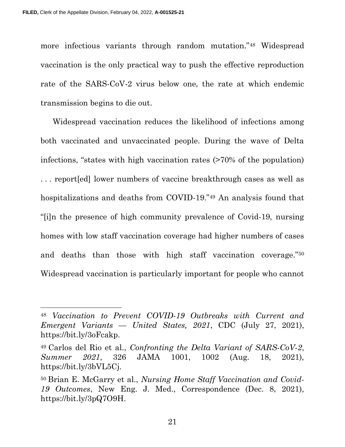more infectious variants through random mutation."48 Widespread vaccination is the only practical way to push the effective reproduction rate of the SARS-CoV-2 virus below one, the rate at which endemic transmission begins to die out.

Widespread vaccination reduces the likelihood of infections among both vaccinated and unvaccinated people. During the wave of Delta infections, "states with high vaccination rates (>70% of the population) . . . report[ed] lower numbers of vaccine breakthrough cases as well as hospitalizations and deaths from COVID-19."49 An analysis found that "[i]n the presence of high community prevalence of Covid-19, nursing homes with low staff vaccination coverage had higher numbers of cases and deaths than those with high staff vaccination coverage."<sup>50</sup> Widespread vaccination is particularly important for people who cannot

21

<sup>48</sup> Vaccination to Prevent COVID-19 Outbreaks with Current and Emergent Variants — United States, 2021, CDC (July 27, 2021), https://bit.ly/3oFcakp.

 $49$  Carlos del Rio et al., Confronting the Delta Variant of SARS-CoV-2, Summer 2021, 326 JAMA 1001, 1002 (Aug. 18, 2021), https://bit.ly/3bVL5Cj.

<sup>50</sup> Brian E. McGarry et al., Nursing Home Staff Vaccination and Covid-19 Outcomes, New Eng. J. Med., Correspondence (Dec. 8, 2021), https://bit.ly/3pQ7O9H.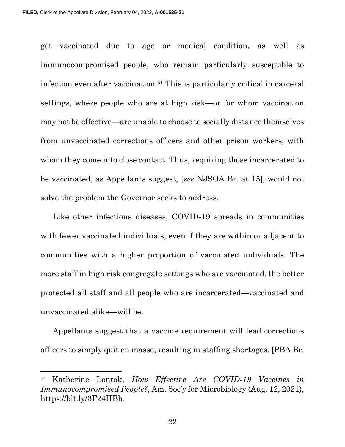get vaccinated due to age or medical condition, as well as immunocompromised people, who remain particularly susceptible to infection even after vaccination.51 This is particularly critical in carceral settings, where people who are at high risk—or for whom vaccination may not be effective—are unable to choose to socially distance themselves from unvaccinated corrections officers and other prison workers, with whom they come into close contact. Thus, requiring those incarcerated to be vaccinated, as Appellants suggest, [see NJSOA Br. at 15], would not solve the problem the Governor seeks to address.

Like other infectious diseases, COVID-19 spreads in communities with fewer vaccinated individuals, even if they are within or adjacent to communities with a higher proportion of vaccinated individuals. The more staff in high risk congregate settings who are vaccinated, the better protected all staff and all people who are incarcerated—vaccinated and unvaccinated alike—will be.

Appellants suggest that a vaccine requirement will lead corrections officers to simply quit en masse, resulting in staffing shortages. [PBA Br.

22

<sup>&</sup>lt;sup>51</sup> Katherine Lontok, How Effective Are COVID-19 Vaccines in Immunocompromised People?, Am. Soc'y for Microbiology (Aug. 12, 2021), https://bit.ly/3F24HBh.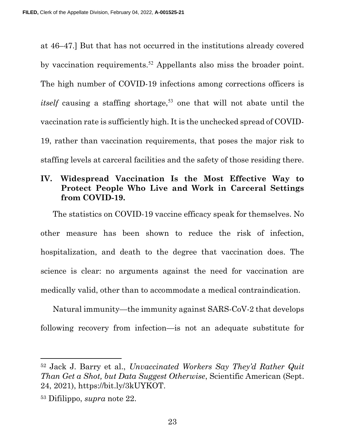at 46–47.] But that has not occurred in the institutions already covered by vaccination requirements.<sup>52</sup> Appellants also miss the broader point. The high number of COVID-19 infections among corrections officers is *itself* causing a staffing shortage,<sup>53</sup> one that will not abate until the vaccination rate is sufficiently high. It is the unchecked spread of COVID-19, rather than vaccination requirements, that poses the major risk to staffing levels at carceral facilities and the safety of those residing there.

### IV. Widespread Vaccination Is the Most Effective Way to Protect People Who Live and Work in Carceral Settings from COVID-19.

The statistics on COVID-19 vaccine efficacy speak for themselves. No other measure has been shown to reduce the risk of infection, hospitalization, and death to the degree that vaccination does. The science is clear: no arguments against the need for vaccination are medically valid, other than to accommodate a medical contraindication.

Natural immunity—the immunity against SARS-CoV-2 that develops following recovery from infection—is not an adequate substitute for

<sup>52</sup> Jack J. Barry et al., Unvaccinated Workers Say They'd Rather Quit Than Get a Shot, but Data Suggest Otherwise, Scientific American (Sept. 24, 2021), https://bit.ly/3kUYKOT.

<sup>53</sup> Difilippo, supra note 22.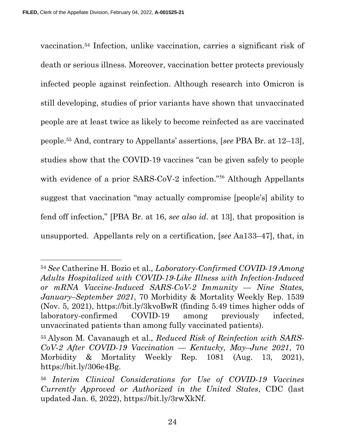vaccination.54 Infection, unlike vaccination, carries a significant risk of death or serious illness. Moreover, vaccination better protects previously infected people against reinfection. Although research into Omicron is still developing, studies of prior variants have shown that unvaccinated people are at least twice as likely to become reinfected as are vaccinated people.55 And, contrary to Appellants' assertions, [see PBA Br. at 12–13], studies show that the COVID-19 vaccines "can be given safely to people with evidence of a prior SARS-CoV-2 infection."<sup>56</sup> Although Appellants suggest that vaccination "may actually compromise [people's] ability to fend off infection," [PBA Br. at 16, see also id. at 13], that proposition is unsupported. Appellants rely on a certification, [see Aa133–47], that, in

<sup>54</sup>See Catherine H. Bozio et al., Laboratory-Confirmed COVID-19 Among Adults Hospitalized with COVID-19-Like Illness with Infection-Induced or mRNA Vaccine-Induced SARS-CoV-2 Immunity — Nine States, January–September 2021, 70 Morbidity & Mortality Weekly Rep. 1539 (Nov. 5, 2021), https://bit.ly/3kvoBwR (finding 5.49 times higher odds of laboratory-confirmed COVID-19 among previously infected, unvaccinated patients than among fully vaccinated patients).

<sup>55</sup> Alyson M. Cavanaugh et al., Reduced Risk of Reinfection with SARS- $CoV-2$  After COVID-19 Vaccination — Kentucky, May-June 2021, 70 Morbidity & Mortality Weekly Rep. 1081 (Aug. 13, 2021), https://bit.ly/306e4Bg.

<sup>56</sup> Interim Clinical Considerations for Use of COVID-19 Vaccines Currently Approved or Authorized in the United States, CDC (last updated Jan. 6, 2022), https://bit.ly/3rwXkNf.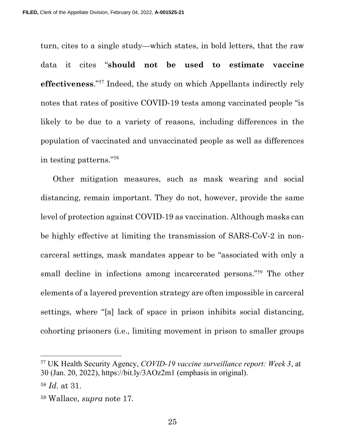turn, cites to a single study—which states, in bold letters, that the raw data it cites "should not be used to estimate vaccine effectiveness."<sup>57</sup> Indeed, the study on which Appellants indirectly rely notes that rates of positive COVID-19 tests among vaccinated people "is likely to be due to a variety of reasons, including differences in the population of vaccinated and unvaccinated people as well as differences in testing patterns."<sup>58</sup>

Other mitigation measures, such as mask wearing and social distancing, remain important. They do not, however, provide the same level of protection against COVID-19 as vaccination. Although masks can be highly effective at limiting the transmission of SARS-CoV-2 in noncarceral settings, mask mandates appear to be "associated with only a small decline in infections among incarcerated persons."<sup>59</sup> The other elements of a layered prevention strategy are often impossible in carceral settings, where "[a] lack of space in prison inhibits social distancing, cohorting prisoners (i.e., limiting movement in prison to smaller groups

<sup>57</sup> UK Health Security Agency, COVID-19 vaccine surveillance report: Week 3, at 30 (Jan. 20, 2022), https://bit.ly/3AOz2m1 (emphasis in original).

<sup>58</sup> Id. at 31.

<sup>59</sup> Wallace, supra note 17.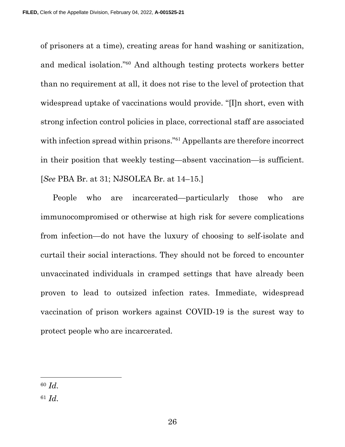of prisoners at a time), creating areas for hand washing or sanitization, and medical isolation."<sup>60</sup> And although testing protects workers better than no requirement at all, it does not rise to the level of protection that widespread uptake of vaccinations would provide. "[I]n short, even with strong infection control policies in place, correctional staff are associated with infection spread within prisons."<sup>61</sup> Appellants are therefore incorrect in their position that weekly testing—absent vaccination—is sufficient. [See PBA Br. at 31; NJSOLEA Br. at 14–15.]

People who are incarcerated—particularly those who are immunocompromised or otherwise at high risk for severe complications from infection—do not have the luxury of choosing to self-isolate and curtail their social interactions. They should not be forced to encounter unvaccinated individuals in cramped settings that have already been proven to lead to outsized infection rates. Immediate, widespread vaccination of prison workers against COVID-19 is the surest way to protect people who are incarcerated.

<sup>60</sup> Id.

 $61$  *Id.*